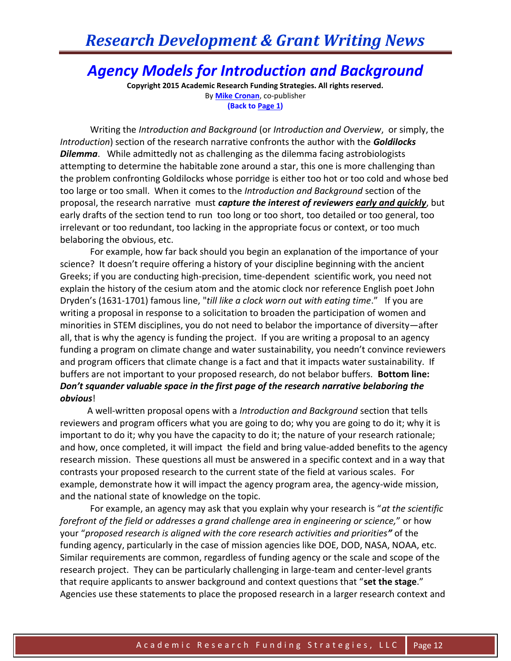#### *Agency Models for Introduction and Background*

**Copyright 2015 Academic Research Funding Strategies. All rights reserved.** By **[Mike Cronan](mailto:mjcronan@gmail.com)**, co-publisher **(Back to Page 1)**

Writing the *Introduction and Background* (or *Introduction and Overview*, or simply, the *Introduction*) section of the research narrative confronts the author with the *Goldilocks Dilemma*. While admittedly not as challenging as the dilemma facing astrobiologists attempting to determine the habitable zone around a star, this one is more challenging than the problem confronting Goldilocks whose porridge is either too hot or too cold and whose bed too large or too small. When it comes to the *Introduction and Background* section of the proposal, the research narrative must *capture the interest of reviewers early and quickly*, but early drafts of the section tend to run too long or too short, too detailed or too general, too irrelevant or too redundant, too lacking in the appropriate focus or context, or too much belaboring the obvious, etc.

For example, how far back should you begin an explanation of the importance of your science? It doesn't require offering a history of your discipline beginning with the ancient Greeks; if you are conducting high-precision, time-dependent scientific work, you need not explain the history of the cesium atom and the atomic clock nor reference English poet John Dryden's (1631-1701) famous line, "*till like a clock worn out with eating time*." If you are writing a proposal in response to a solicitation to broaden the participation of women and minorities in STEM disciplines, you do not need to belabor the importance of diversity—after all, that is why the agency is funding the project. If you are writing a proposal to an agency funding a program on climate change and water sustainability, you needn't convince reviewers and program officers that climate change is a fact and that it impacts water sustainability. If buffers are not important to your proposed research, do not belabor buffers. **Bottom line:** *Don't squander valuable space in the first page of the research narrative belaboring the obvious*!

 A well-written proposal opens with a *Introduction and Background* section that tells reviewers and program officers what you are going to do; why you are going to do it; why it is important to do it; why you have the capacity to do it; the nature of your research rationale; and how, once completed, it will impact the field and bring value-added benefits to the agency research mission. These questions all must be answered in a specific context and in a way that contrasts your proposed research to the current state of the field at various scales. For example, demonstrate how it will impact the agency program area, the agency-wide mission, and the national state of knowledge on the topic.

For example, an agency may ask that you explain why your research is "*at the scientific forefront of the field or addresses a grand challenge area in engineering or science,*" or how your "*proposed research is aligned with the core research activities and priorities"* of the funding agency, particularly in the case of mission agencies like DOE, DOD, NASA, NOAA, etc. Similar requirements are common, regardless of funding agency or the scale and scope of the research project. They can be particularly challenging in large-team and center-level grants that require applicants to answer background and context questions that "**set the stage**." Agencies use these statements to place the proposed research in a larger research context and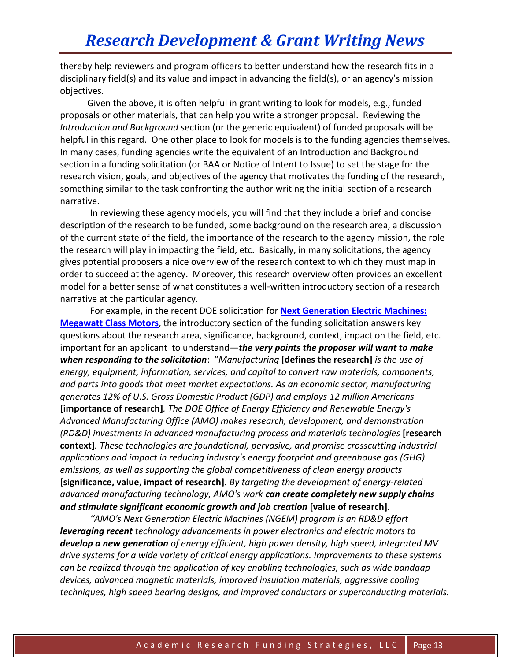thereby help reviewers and program officers to better understand how the research fits in a disciplinary field(s) and its value and impact in advancing the field(s), or an agency's mission objectives.

 Given the above, it is often helpful in grant writing to look for models, e.g., funded proposals or other materials, that can help you write a stronger proposal. Reviewing the *Introduction and Background* section (or the generic equivalent) of funded proposals will be helpful in this regard. One other place to look for models is to the funding agencies themselves. In many cases, funding agencies write the equivalent of an Introduction and Background section in a funding solicitation (or BAA or Notice of Intent to Issue) to set the stage for the research vision, goals, and objectives of the agency that motivates the funding of the research, something similar to the task confronting the author writing the initial section of a research narrative.

In reviewing these agency models, you will find that they include a brief and concise description of the research to be funded, some background on the research area, a discussion of the current state of the field, the importance of the research to the agency mission, the role the research will play in impacting the field, etc. Basically, in many solicitations, the agency gives potential proposers a nice overview of the research context to which they must map in order to succeed at the agency. Moreover, this research overview often provides an excellent model for a better sense of what constitutes a well-written introductory section of a research narrative at the particular agency.

For example, in the recent DOE solicitation for **[Next Generation Electric Machines:](http://feedproxy.google.com/~r/EereFinancialOpportunities/~3/OtPhDk4Ye1E/solicitations_detail.html)  [Megawatt Class Motors](http://feedproxy.google.com/~r/EereFinancialOpportunities/~3/OtPhDk4Ye1E/solicitations_detail.html)**, the introductory section of the funding solicitation answers key questions about the research area, significance, background, context, impact on the field, etc. important for an applicant to understand—*the very points the proposer will want to make when responding to the solicitation*: "*Manufacturing* **[defines the research]** *is the use of energy, equipment, information, services, and capital to convert raw materials, components, and parts into goods that meet market expectations. As an economic sector, manufacturing generates 12% of U.S. Gross Domestic Product (GDP) and employs 12 million Americans* **[importance of research]***. The DOE Office of Energy Efficiency and Renewable Energy's Advanced Manufacturing Office (AMO) makes research, development, and demonstration (RD&D) investments in advanced manufacturing process and materials technologies* **[research context]***. These technologies are foundational, pervasive, and promise crosscutting industrial applications and impact in reducing industry's energy footprint and greenhouse gas (GHG) emissions, as well as supporting the global competitiveness of clean energy products* **[significance, value, impact of research]***. By targeting the development of energy-related advanced manufacturing technology, AMO's work can create completely new supply chains and stimulate significant economic growth and job creation* **[value of research]***.*

*"AMO's Next Generation Electric Machines (NGEM) program is an RD&D effort leveraging recent technology advancements in power electronics and electric motors to develop a new generation of energy efficient, high power density, high speed, integrated MV drive systems for a wide variety of critical energy applications. Improvements to these systems can be realized through the application of key enabling technologies, such as wide bandgap devices, advanced magnetic materials, improved insulation materials, aggressive cooling techniques, high speed bearing designs, and improved conductors or superconducting materials.*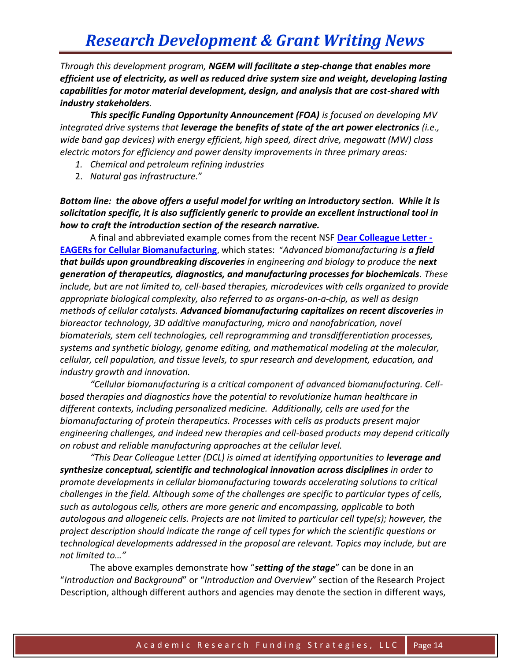*Through this development program, NGEM will facilitate a step-change that enables more efficient use of electricity, as well as reduced drive system size and weight, developing lasting capabilities for motor material development, design, and analysis that are cost-shared with industry stakeholders.*

*This specific Funding Opportunity Announcement (FOA) is focused on developing MV integrated drive systems that leverage the benefits of state of the art power electronics (i.e., wide band gap devices) with energy efficient, high speed, direct drive, megawatt (MW) class electric motors for efficiency and power density improvements in three primary areas:*

- *1. Chemical and petroleum refining industries*
- 2. *Natural gas infrastructure.*"

*Bottom line: the above offers a useful model for writing an introductory section. While it is solicitation specific, it is also sufficiently generic to provide an excellent instructional tool in how to craft the introduction section of the research narrative.*

A final and abbreviated example comes from the recent NSF **[Dear Colleague Letter -](http://www.nsf.gov/pubs/2015/nsf15065/nsf15065.jsp?WT.mc_id=USNSF_25&WT.mc_ev=click) [EAGERs for Cellular Biomanufacturing](http://www.nsf.gov/pubs/2015/nsf15065/nsf15065.jsp?WT.mc_id=USNSF_25&WT.mc_ev=click)**, which states: "*Advanced biomanufacturing is a field that builds upon groundbreaking discoveries in engineering and biology to produce the next generation of therapeutics, diagnostics, and manufacturing processes for biochemicals. These include, but are not limited to, cell-based therapies, microdevices with cells organized to provide appropriate biological complexity, also referred to as organs-on-a-chip, as well as design methods of cellular catalysts. Advanced biomanufacturing capitalizes on recent discoveries in bioreactor technology, 3D additive manufacturing, micro and nanofabrication, novel biomaterials, stem cell technologies, cell reprogramming and transdifferentiation processes, systems and synthetic biology, genome editing, and mathematical modeling at the molecular, cellular, cell population, and tissue levels, to spur research and development, education, and industry growth and innovation.*

*"Cellular biomanufacturing is a critical component of advanced biomanufacturing. Cellbased therapies and diagnostics have the potential to revolutionize human healthcare in different contexts, including personalized medicine. Additionally, cells are used for the biomanufacturing of protein therapeutics. Processes with cells as products present major engineering challenges, and indeed new therapies and cell-based products may depend critically on robust and reliable manufacturing approaches at the cellular level.*

"This Dear Colleague Letter (DCL) is aimed at identifying opportunities to **leverage and** *synthesize conceptual, scientific and technological innovation across disciplines in order to promote developments in cellular biomanufacturing towards accelerating solutions to critical challenges in the field. Although some of the challenges are specific to particular types of cells, such as autologous cells, others are more generic and encompassing, applicable to both autologous and allogeneic cells. Projects are not limited to particular cell type(s); however, the project description should indicate the range of cell types for which the scientific questions or technological developments addressed in the proposal are relevant. Topics may include, but are not limited to…"*

The above examples demonstrate how "*setting of the stage*" can be done in an "*Introduction and Background*" or "*Introduction and Overview*" section of the Research Project Description, although different authors and agencies may denote the section in different ways,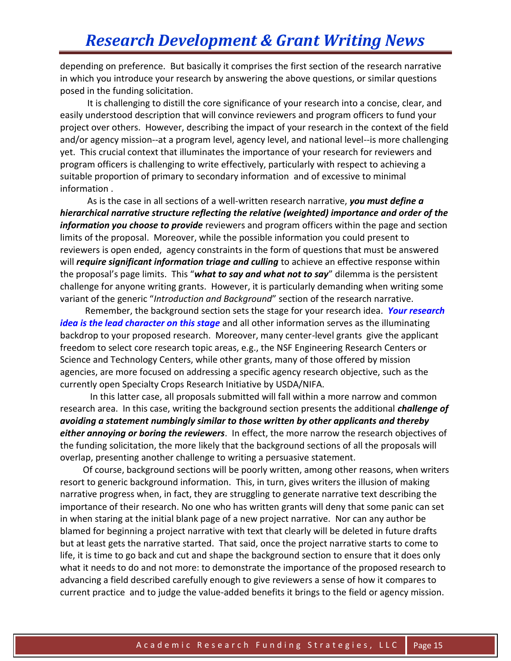depending on preference. But basically it comprises the first section of the research narrative in which you introduce your research by answering the above questions, or similar questions posed in the funding solicitation.

 It is challenging to distill the core significance of your research into a concise, clear, and easily understood description that will convince reviewers and program officers to fund your project over others. However, describing the impact of your research in the context of the field and/or agency mission--at a program level, agency level, and national level--is more challenging yet. This crucial context that illuminates the importance of your research for reviewers and program officers is challenging to write effectively, particularly with respect to achieving a suitable proportion of primary to secondary information and of excessive to minimal information .

 As is the case in all sections of a well-written research narrative, *you must define a hierarchical narrative structure reflecting the relative (weighted) importance and order of the information you choose to provide* reviewers and program officers within the page and section limits of the proposal. Moreover, while the possible information you could present to reviewers is open ended, agency constraints in the form of questions that must be answered will *require significant information triage and culling* to achieve an effective response within the proposal's page limits. This "*what to say and what not to say*" dilemma is the persistent challenge for anyone writing grants. However, it is particularly demanding when writing some variant of the generic "*Introduction and Background*" section of the research narrative.

 Remember, the background section sets the stage for your research idea. *Your research idea is the lead character on this stage* and all other information serves as the illuminating backdrop to your proposed research. Moreover, many center-level grants give the applicant freedom to select core research topic areas, e.g., the NSF Engineering Research Centers or Science and Technology Centers, while other grants, many of those offered by mission agencies, are more focused on addressing a specific agency research objective, such as the currently open Specialty Crops Research Initiative by USDA/NIFA.

In this latter case, all proposals submitted will fall within a more narrow and common research area. In this case, writing the background section presents the additional *challenge of avoiding a statement numbingly similar to those written by other applicants and thereby either annoying or boring the reviewers*. In effect, the more narrow the research objectives of the funding solicitation, the more likely that the background sections of all the proposals will overlap, presenting another challenge to writing a persuasive statement.

 Of course, background sections will be poorly written, among other reasons, when writers resort to generic background information. This, in turn, gives writers the illusion of making narrative progress when, in fact, they are struggling to generate narrative text describing the importance of their research. No one who has written grants will deny that some panic can set in when staring at the initial blank page of a new project narrative. Nor can any author be blamed for beginning a project narrative with text that clearly will be deleted in future drafts but at least gets the narrative started. That said, once the project narrative starts to come to life, it is time to go back and cut and shape the background section to ensure that it does only what it needs to do and not more: to demonstrate the importance of the proposed research to advancing a field described carefully enough to give reviewers a sense of how it compares to current practice and to judge the value-added benefits it brings to the field or agency mission.